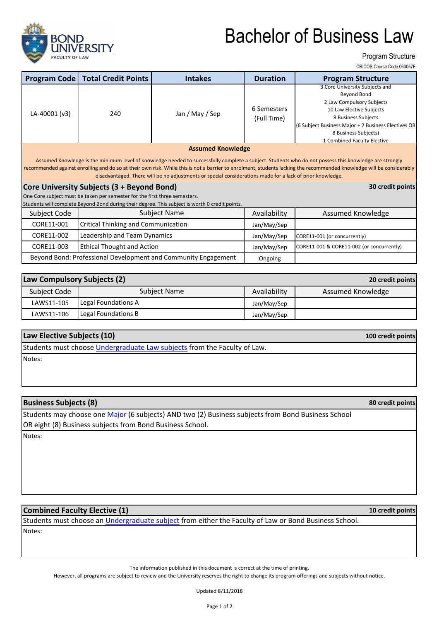

# Bachelor of Business Law

Program Structure

CRICOS Course Code 063057F

| <b>Program Code</b>                                                                                                                                                                                                                                                                                                                                                                                                                                                     | <b>Total Credit Points</b>                 | <b>Intakes</b>                                                                                 | <b>Duration</b>            | <b>Program Structure</b>                                                                                                                                                                                                                    |  |  |  |
|-------------------------------------------------------------------------------------------------------------------------------------------------------------------------------------------------------------------------------------------------------------------------------------------------------------------------------------------------------------------------------------------------------------------------------------------------------------------------|--------------------------------------------|------------------------------------------------------------------------------------------------|----------------------------|---------------------------------------------------------------------------------------------------------------------------------------------------------------------------------------------------------------------------------------------|--|--|--|
| LA-40001 (v3)                                                                                                                                                                                                                                                                                                                                                                                                                                                           | 240                                        | Jan / May / Sep                                                                                | 6 Semesters<br>(Full Time) | 3 Core University Subjects and<br>Beyond Bond<br>2 Law Compulsory Subjects<br>10 Law Elective Subjects<br>8 Business Subjects<br>(6 Subject Business Major + 2 Business Electives OR<br>8 Business Subjects)<br>1 Combined Faculty Elective |  |  |  |
| <b>Assumed Knowledge</b><br>Assumed Knowledge is the minimum level of knowledge needed to successfully complete a subject. Students who do not possess this knowledge are strongly<br>recommended against enrolling and do so at their own risk. While this is not a barrier to enrolment, students lacking the recommended knowledge will be considerably<br>disadvantaged. There will be no adjustments or special considerations made for a lack of prior knowledge. |                                            |                                                                                                |                            |                                                                                                                                                                                                                                             |  |  |  |
| Core University Subjects (3 + Beyond Bond)<br>30 credit points                                                                                                                                                                                                                                                                                                                                                                                                          |                                            |                                                                                                |                            |                                                                                                                                                                                                                                             |  |  |  |
| One Core subject must be taken per semester for the first three semesters.                                                                                                                                                                                                                                                                                                                                                                                              |                                            |                                                                                                |                            |                                                                                                                                                                                                                                             |  |  |  |
|                                                                                                                                                                                                                                                                                                                                                                                                                                                                         |                                            | Students will complete Beyond Bond during their degree. This subject is worth 0 credit points. |                            |                                                                                                                                                                                                                                             |  |  |  |
| Subject Code                                                                                                                                                                                                                                                                                                                                                                                                                                                            | Subject Name                               |                                                                                                | Availability               | Assumed Knowledge                                                                                                                                                                                                                           |  |  |  |
| CORE11-001                                                                                                                                                                                                                                                                                                                                                                                                                                                              | <b>Critical Thinking and Communication</b> |                                                                                                | Jan/May/Sep                |                                                                                                                                                                                                                                             |  |  |  |
| CORE11-002                                                                                                                                                                                                                                                                                                                                                                                                                                                              | Leadership and Team Dynamics               |                                                                                                | Jan/May/Sep                | CORE11-001 (or concurrently)                                                                                                                                                                                                                |  |  |  |
| CORE11-003                                                                                                                                                                                                                                                                                                                                                                                                                                                              | <b>Ethical Thought and Action</b>          |                                                                                                | Jan/May/Sep                | CORE11-001 & CORE11-002 (or concurrently)                                                                                                                                                                                                   |  |  |  |
| Beyond Bond: Professional Development and Community Engagement                                                                                                                                                                                                                                                                                                                                                                                                          |                                            |                                                                                                | Ongoing                    |                                                                                                                                                                                                                                             |  |  |  |

| Law Compulsory Subjects (2)<br>20 credit points |                     |              |                   |  |  |
|-------------------------------------------------|---------------------|--------------|-------------------|--|--|
| Subject Code                                    | Subject Name        | Availability | Assumed Knowledge |  |  |
| LAWS11-105                                      | Legal Foundations A | Jan/May/Sep  |                   |  |  |
| LAWS11-106                                      | Legal Foundations B | Jan/May/Sep  |                   |  |  |

#### **Law Elective Subjects (10)**

[Students must choose Undergraduate Law subjects](https://bond.edu.au/current-students/study-information/subjects) from the Faculty of Law.

Notes:

### **Business Subjects (8)**

Students may choose one *Major* (6 subjects) AND two (2) Business subjects from Bond Business School [OR eight \(8\) Busin](https://bond.edu.au/current-students/study-information/enrolment/program-structure-and-sequence/bus)ess subjects from Bond Business School.

Notes:

### **Combined Faculty Elective (1)**

Notes: Students must choose an *Undergraduate subject* from either the Faculty of Law or Bond Business School.

The information published in this document is correct at the time of printing.

However, all programs are subject to review and the University reserves the right to change its program offerings and subjects without notice.

Updated 8/11/2018

**10 credit points**

**100 credit points**

**80 credit points**